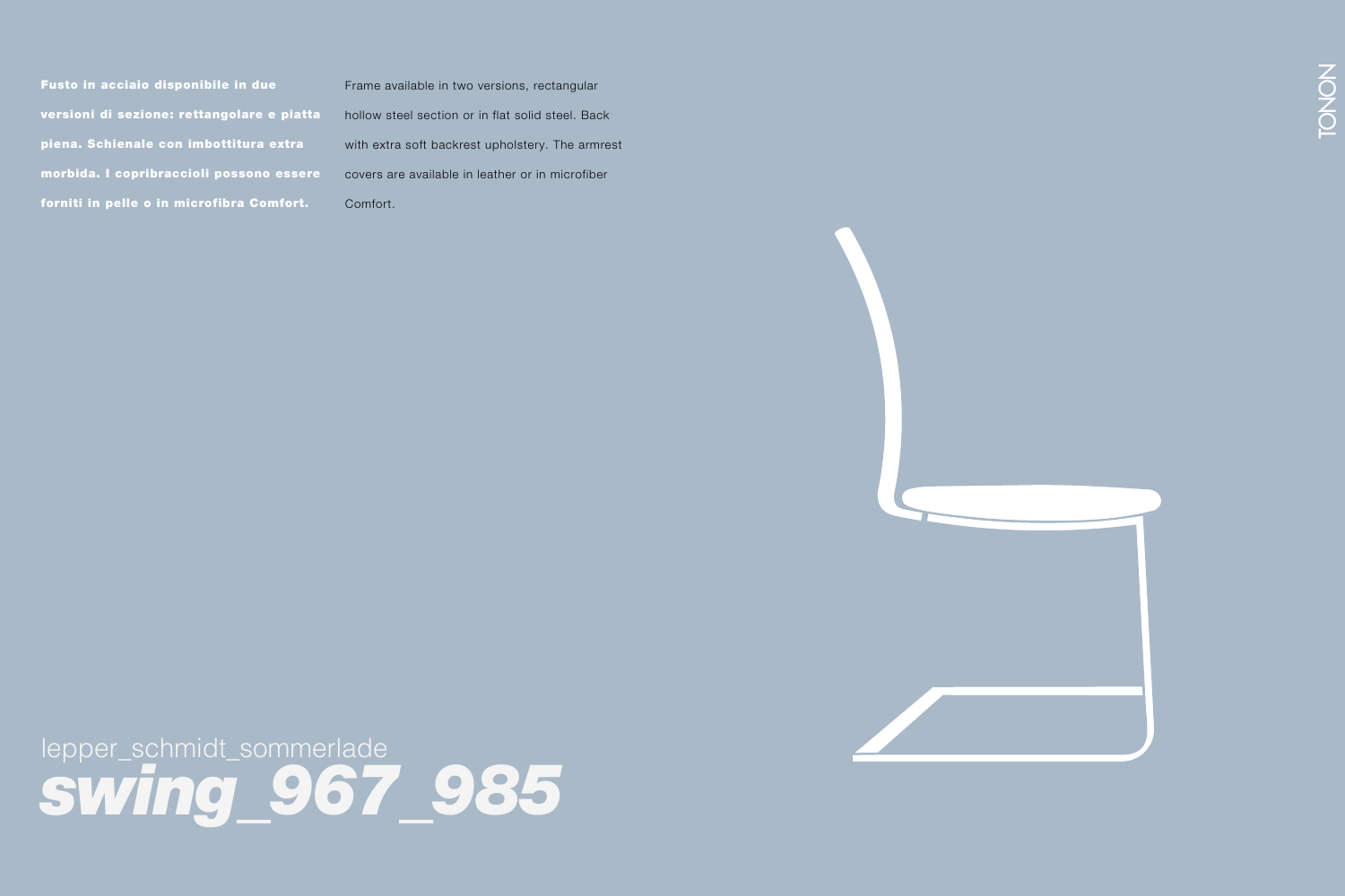Fusto in acciaio disponibile in due versioni di sezione: rettangolare e piatta piena. Schienale con imbottitura extra morbida. I copribraccioli possono essere forniti in pelle o in microfibra Comfort.

Frame available in two versions, rectangular hollow steel section or in flat solid steel. Back with extra soft backrest upholstery. The armrest covers are available in leather or in microfiber Comfort.



lepper\_schmidt\_sommerlade *swing\_967\_985*